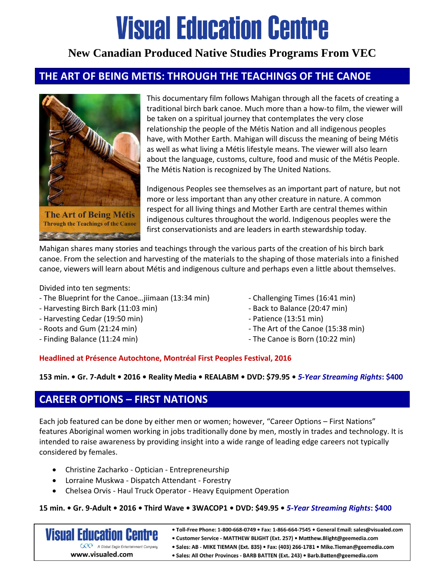# **Visual Education Centre**

# **New Canadian Produced Native Studies Programs From VEC**

### **THE ART OF BEING METIS: THROUGH THE TEACHINGS OF THE CANOE**



This documentary film follows Mahigan through all the facets of creating a traditional birch bark canoe. Much more than a how-to film, the viewer will be taken on a spiritual journey that contemplates the very close relationship the people of the Métis Nation and all indigenous peoples have, with Mother Earth. Mahigan will discuss the meaning of being Métis as well as what living a Métis lifestyle means. The viewer will also learn about the language, customs, culture, food and music of the Métis People. The Métis Nation is recognized by The United Nations.

Indigenous Peoples see themselves as an important part of nature, but not more or less important than any other creature in nature. A common respect for all living things and Mother Earth are central themes within indigenous cultures throughout the world. Indigenous peoples were the first conservationists and are leaders in earth stewardship today.

Mahigan shares many stories and teachings through the various parts of the creation of his birch bark canoe. From the selection and harvesting of the materials to the shaping of those materials into a finished canoe, viewers will learn about Métis and indigenous culture and perhaps even a little about themselves.

Divided into ten segments:

- The Blueprint for the Canoe…jiimaan (13:34 min)
- Harvesting Birch Bark (11:03 min)
- Harvesting Cedar (19:50 min)
- Roots and Gum (21:24 min)
- Finding Balance (11:24 min)
- Challenging Times (16:41 min)
- Back to Balance (20:47 min)
- Patience (13:51 min)
- The Art of the Canoe (15:38 min)
- The Canoe is Born (10:22 min)

### **Headlined at Présence Autochtone, Montréal First Peoples Festival, 2016**

#### **153 min. • Gr. 7-Adult • 2016 • Reality Media • REALABM • DVD: \$79.95 •** *5-Year Streaming Rights***: \$400**

### **CAREER OPTIONS – FIRST NATIONS**

Each job featured can be done by either men or women; however, "Career Options – First Nations" features Aboriginal women working in jobs traditionally done by men, mostly in trades and technology. It is intended to raise awareness by providing insight into a wide range of leading edge careers not typically considered by females.

- Christine Zacharko Optician Entrepreneurship
- Lorraine Muskwa Dispatch Attendant Forestry
- Chelsea Orvis Haul Truck Operator Heavy Equipment Operation

#### **15 min. • Gr. 9-Adult • 2016 • Third Wave • 3WACOP1 • DVD: \$49.95 •** *5-Year Streaming Rights***: \$400**

· Toll-Free Phone: 1-800-668-0749 · Fax: 1-866-664-7545 · General Email: sales@visualed.com **Visual Education Centre** • Customer Service - MATTHEW BLIGHT (Ext. 257) • Matthew.Blight@geemedia.com GRP A Global Eagle Entertainment Company • Sales: AB - MIKE TIEMAN (Ext. 835) • Fax: (403) 266-1781 • Mike. Tieman@geemedia.com www.visualed.com · Sales: All Other Provinces - BARB BATTEN (Ext. 243) · Barb.Batten@geemedia.com